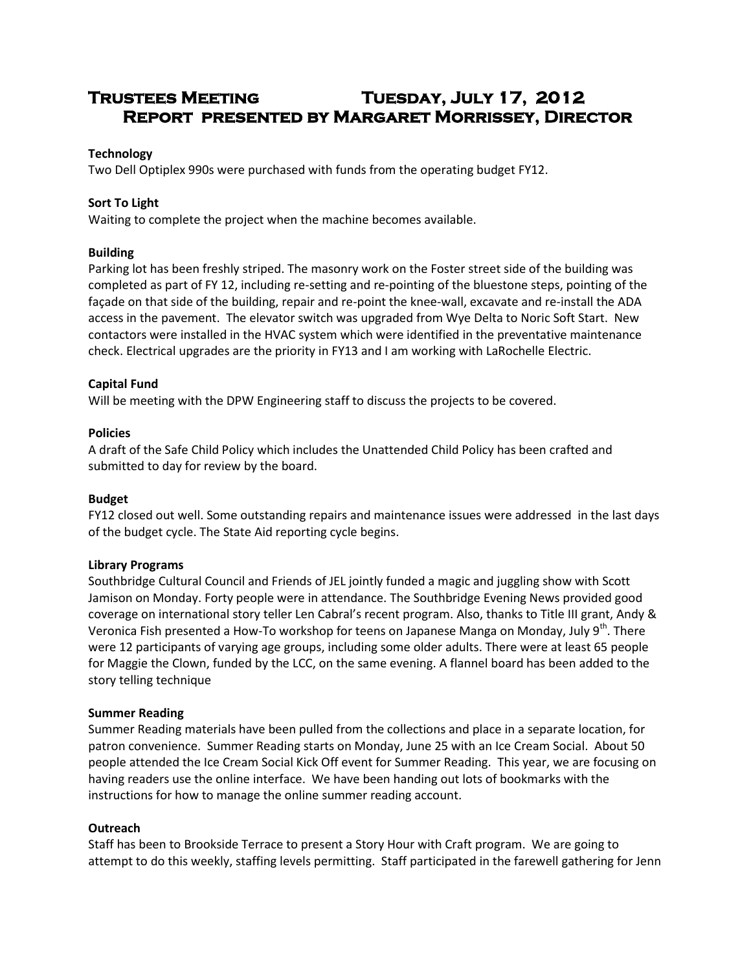# **Trustees Meeting Tuesday, July 17, 2012 Report presented by Margaret Morrissey, Director**

# **Technology**

Two Dell Optiplex 990s were purchased with funds from the operating budget FY12.

# **Sort To Light**

Waiting to complete the project when the machine becomes available.

# **Building**

Parking lot has been freshly striped. The masonry work on the Foster street side of the building was completed as part of FY 12, including re-setting and re-pointing of the bluestone steps, pointing of the façade on that side of the building, repair and re-point the knee-wall, excavate and re-install the ADA access in the pavement. The elevator switch was upgraded from Wye Delta to Noric Soft Start. New contactors were installed in the HVAC system which were identified in the preventative maintenance check. Electrical upgrades are the priority in FY13 and I am working with LaRochelle Electric.

# **Capital Fund**

Will be meeting with the DPW Engineering staff to discuss the projects to be covered.

## **Policies**

A draft of the Safe Child Policy which includes the Unattended Child Policy has been crafted and submitted to day for review by the board.

#### **Budget**

FY12 closed out well. Some outstanding repairs and maintenance issues were addressed in the last days of the budget cycle. The State Aid reporting cycle begins.

#### **Library Programs**

Southbridge Cultural Council and Friends of JEL jointly funded a magic and juggling show with Scott Jamison on Monday. Forty people were in attendance. The Southbridge Evening News provided good coverage on international story teller Len Cabral's recent program. Also, thanks to Title III grant, Andy & Veronica Fish presented a How-To workshop for teens on Japanese Manga on Monday, July 9<sup>th</sup>. There were 12 participants of varying age groups, including some older adults. There were at least 65 people for Maggie the Clown, funded by the LCC, on the same evening. A flannel board has been added to the story telling technique

#### **Summer Reading**

Summer Reading materials have been pulled from the collections and place in a separate location, for patron convenience. Summer Reading starts on Monday, June 25 with an Ice Cream Social. About 50 people attended the Ice Cream Social Kick Off event for Summer Reading. This year, we are focusing on having readers use the online interface. We have been handing out lots of bookmarks with the instructions for how to manage the online summer reading account.

# **Outreach**

Staff has been to Brookside Terrace to present a Story Hour with Craft program. We are going to attempt to do this weekly, staffing levels permitting. Staff participated in the farewell gathering for Jenn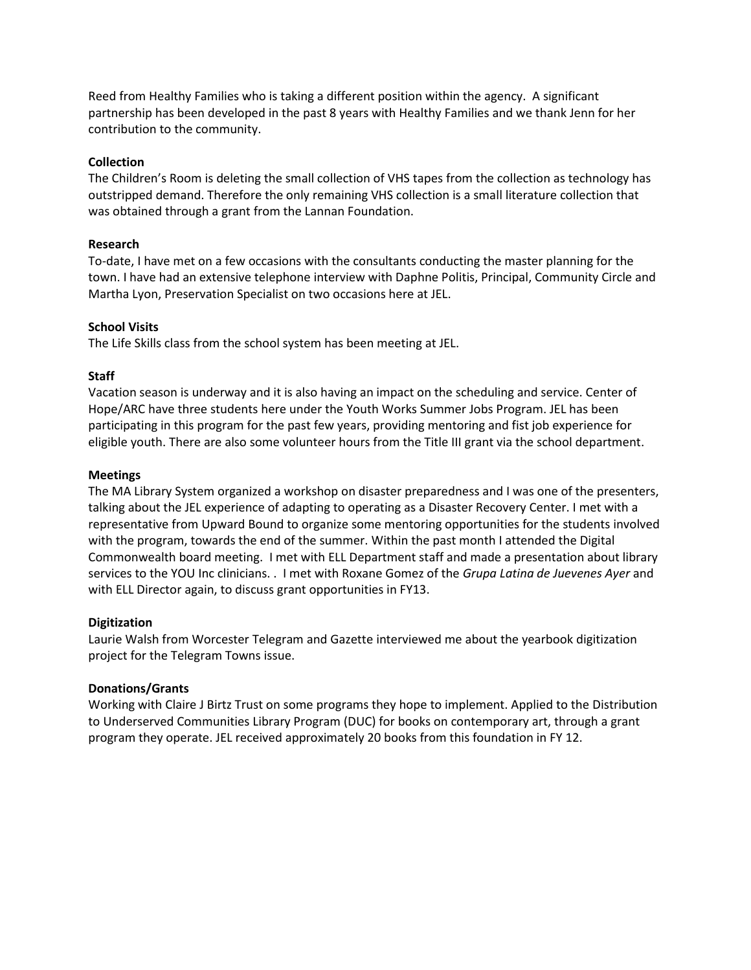Reed from Healthy Families who is taking a different position within the agency. A significant partnership has been developed in the past 8 years with Healthy Families and we thank Jenn for her contribution to the community.

## **Collection**

The Children's Room is deleting the small collection of VHS tapes from the collection as technology has outstripped demand. Therefore the only remaining VHS collection is a small literature collection that was obtained through a grant from the Lannan Foundation.

## **Research**

To-date, I have met on a few occasions with the consultants conducting the master planning for the town. I have had an extensive telephone interview with Daphne Politis, Principal, Community Circle and Martha Lyon, Preservation Specialist on two occasions here at JEL.

## **School Visits**

The Life Skills class from the school system has been meeting at JEL.

## **Staff**

Vacation season is underway and it is also having an impact on the scheduling and service. Center of Hope/ARC have three students here under the Youth Works Summer Jobs Program. JEL has been participating in this program for the past few years, providing mentoring and fist job experience for eligible youth. There are also some volunteer hours from the Title III grant via the school department.

## **Meetings**

The MA Library System organized a workshop on disaster preparedness and I was one of the presenters, talking about the JEL experience of adapting to operating as a Disaster Recovery Center. I met with a representative from Upward Bound to organize some mentoring opportunities for the students involved with the program, towards the end of the summer. Within the past month I attended the Digital Commonwealth board meeting. I met with ELL Department staff and made a presentation about library services to the YOU Inc clinicians. . I met with Roxane Gomez of the *Grupa Latina de Juevenes Ayer* and with ELL Director again, to discuss grant opportunities in FY13.

#### **Digitization**

Laurie Walsh from Worcester Telegram and Gazette interviewed me about the yearbook digitization project for the Telegram Towns issue.

#### **Donations/Grants**

Working with Claire J Birtz Trust on some programs they hope to implement. Applied to the Distribution to Underserved Communities Library Program (DUC) for books on contemporary art, through a grant program they operate. JEL received approximately 20 books from this foundation in FY 12.